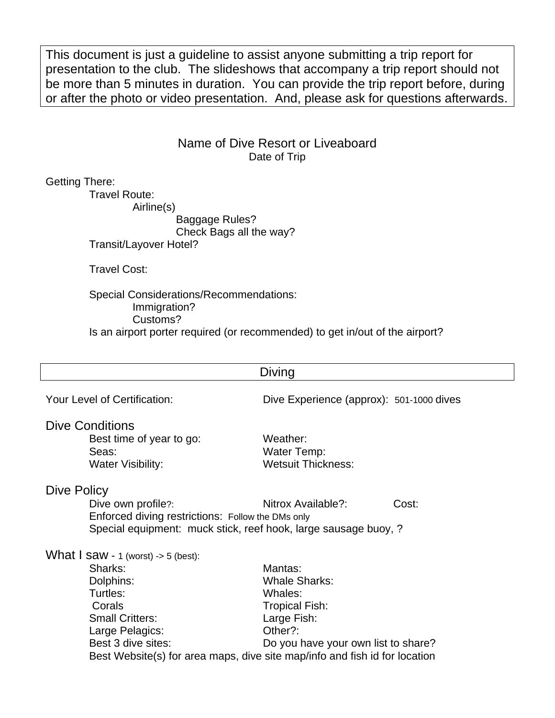This document is just a guideline to assist anyone submitting a trip report for presentation to the club. The slideshows that accompany a trip report should not be more than 5 minutes in duration. You can provide the trip report before, during or after the photo or video presentation. And, please ask for questions afterwards.

## Name of Dive Resort or Liveaboard Date of Trip

Getting There:

Travel Route:

Airline(s)

Baggage Rules? Check Bags all the way?

Transit/Layover Hotel?

Travel Cost:

Special Considerations/Recommendations: Immigration? Customs? Is an airport porter required (or recommended) to get in/out of the airport?

| Diving                                                                                                                                                                                                                                          |                                                                                                                                      |       |
|-------------------------------------------------------------------------------------------------------------------------------------------------------------------------------------------------------------------------------------------------|--------------------------------------------------------------------------------------------------------------------------------------|-------|
| Your Level of Certification:                                                                                                                                                                                                                    | Dive Experience (approx): 501-1000 dives                                                                                             |       |
| <b>Dive Conditions</b><br>Best time of year to go:<br>Seas:<br><b>Water Visibility:</b>                                                                                                                                                         | Weather:<br>Water Temp:<br><b>Wetsuit Thickness:</b>                                                                                 |       |
| Dive Policy<br>Dive own profile?:<br>Enforced diving restrictions: Follow the DMs only<br>Special equipment: muck stick, reef hook, large sausage buoy, ?                                                                                       | Nitrox Available?:                                                                                                                   | Cost: |
| What $\overline{I}$ saw - 1 (worst) -> 5 (best):<br>Sharks:<br>Dolphins:<br>Turtles:<br>Corals<br><b>Small Critters:</b><br>Large Pelagics:<br>Best 3 dive sites:<br>Best Website(s) for area maps, dive site map/info and fish id for location | Mantas:<br><b>Whale Sharks:</b><br>Whales:<br><b>Tropical Fish:</b><br>Large Fish:<br>Other?:<br>Do you have your own list to share? |       |